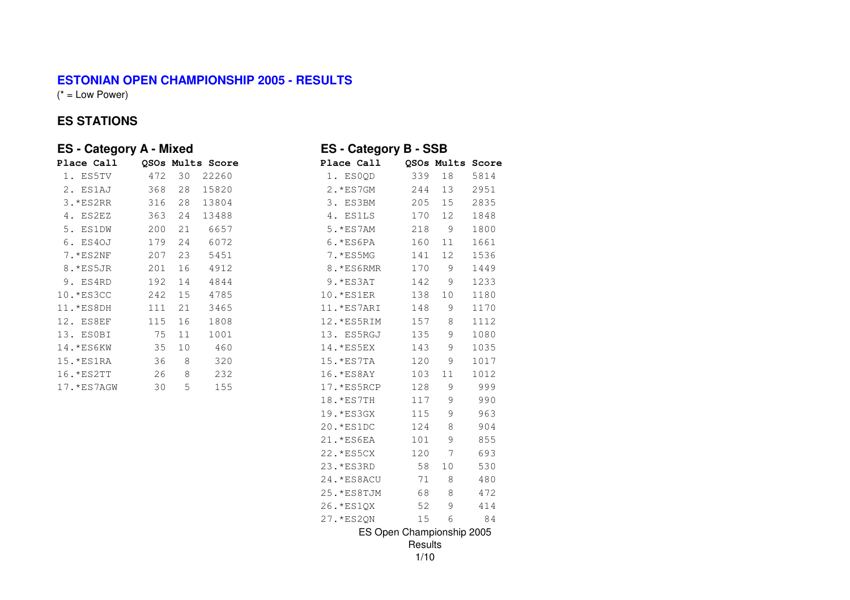## **ESTONIAN OPEN CHAMPIONSHIP 2005 - RESULTS**

 $(* = Low Power)$ 

## **ES STATIONS**

| <b>ES</b> - Category A - Mixed |     |         |                  | <b>ES-Category B-SSB</b>           |      |
|--------------------------------|-----|---------|------------------|------------------------------------|------|
| Place Call                     |     |         | QSOs Mults Score | Place Call<br>QSOs Mults Score     |      |
| 1. ES5TV                       | 472 | 30      | 22260            | 339<br>$18\,$<br>1. ESOQD          | 5814 |
| 2. ES1AJ                       | 368 | 28      | 15820            | 2. * ES7GM<br>244<br>13            | 2951 |
| 3. *ES2RR                      | 316 | 28      | 13804            | 3. ES3BM<br>205<br>15              | 2835 |
| 4. ES2EZ                       | 363 | 24      | 13488            | 4. ES1LS<br>12<br>170              | 1848 |
| 5. ES1DW                       | 200 | 21      | 6657             | $\mathcal{G}$<br>5. * ES7AM<br>218 | 1800 |
| 6. ES40J                       | 179 | 24      | 6072             | 160<br>$6.*ES6PA$<br>11            | 1661 |
| 7.*ES2NF                       | 207 | 23      | 5451             | 12<br>7. *ES5MG<br>141             | 1536 |
| 8. *ES5JR                      | 201 | 16      | 4912             | 8. *ES6RMR<br>170<br>9             | 1449 |
| 9. ES4RD                       | 192 | 14      | 4844             | 142<br>9<br>9.*ES3AT               | 1233 |
| 10. * ES3CC                    | 242 | 15      | 4785             | 138<br>10<br>10.*ES1ER             | 1180 |
| 11. * ES8DH                    | 111 | 21      | 3465             | $\mathsf 9$<br>11.*ES7ARI<br>148   | 1170 |
| 12. ES8EF                      | 115 | 16      | 1808             | 12.*ES5RIM<br>157<br>8             | 1112 |
| 13. ESOBI                      | 75  | 11      | 1001             | 13. ES5RGJ<br>135<br>9             | 1080 |
| 14. * ES6KW                    | 35  | 10      | 460              | 9<br>14. * ES5EX<br>143            | 1035 |
| 15.*ES1RA                      | 36  | $\,8\,$ | 320              | 15. * ES7TA<br>120<br>9            | 1017 |
| 16. * ES2TT                    | 26  | $\,8\,$ | 232              | 16. * ES8AY<br>103<br>11           | 1012 |
| 17. * ES 7AGW                  | 30  | 5       | 155              | 128<br>17.*ES5RCP<br>9             | 999  |
|                                |     |         |                  | 117<br>9<br>18. *ES7TH             | 990  |
|                                |     |         |                  | 9<br>19. * ES3GX<br>115            | 963  |
|                                |     |         |                  | 20. * ES1DC<br>124<br>8            | 904  |
|                                |     |         |                  | 101<br>9<br>21. *ES6EA             | 855  |
|                                |     |         |                  | 7<br>22. * ES5CX<br>120            | 693  |
|                                |     |         |                  | 58<br>10<br>23. * ES3RD            | 530  |
|                                |     |         |                  | 71<br>$\,8\,$<br>24. * ES8ACU      | 480  |
|                                |     |         |                  | 68<br>$\,8\,$<br>25. * ES8TJM      | 472  |
|                                |     |         |                  | 9<br>26. * ES1QX<br>52             | 414  |
|                                |     |         |                  | 15<br>6<br>27. * ES2QN             | 84   |
|                                |     |         |                  | ES Open Championship 2005          |      |
|                                |     |         |                  | Results                            |      |

1/10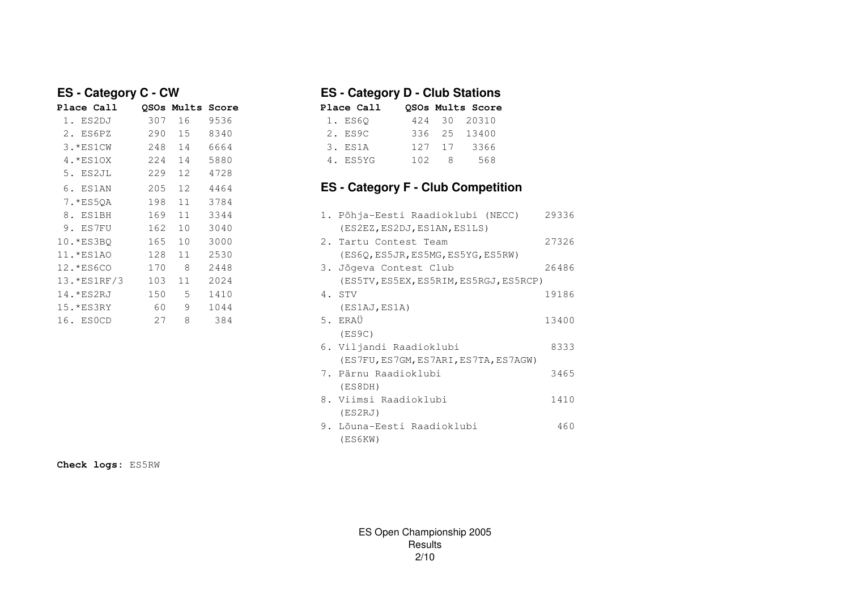| Place Call    |     | OSOs Mults Score |      | Place Call<br>OSOs Mults Score          |
|---------------|-----|------------------|------|-----------------------------------------|
| 1. ES2DJ      | 307 | 16               | 9536 | 1. ES60<br>424<br>30<br>20310           |
| 2. ES6PZ      | 290 | 15               | 8340 | 336<br>25<br>13400<br>2. ES9C           |
| 3.*ES1CW      | 248 | 14               | 6664 | 127<br>17<br>3366<br>3. ES1A            |
| $4.*ES1OX$    | 224 | 14               | 5880 | 568<br>102<br>8<br>4. ES5YG             |
| 5. ES2JL      | 229 | 12               | 4728 |                                         |
| 6. ES1AN      | 205 | 12               | 4464 | <b>ES - Category F - Club Competing</b> |
| 7.*ES50A      | 198 | 11               | 3784 |                                         |
| 8. ES1BH      | 169 | 11               | 3344 | 1. Põhja-Eesti Raadioklubi (NE          |
| 9. ES7FU      | 162 | 10               | 3040 | (ES2EZ, ES2DJ, ES1AN, ES1LS)            |
| 10.*ES3BO     | 165 | 10               | 3000 | 2. Tartu Contest Team                   |
| 11.*ES1AO     | 128 | 11               | 2530 | (ES6Q, ES5JR, ES5MG, ES5YG, ES5         |
| 12.*ES6CO     | 170 | 8                | 2448 | 3. Jõgeva Contest Club                  |
| $13.*ES1RF/3$ | 103 | 11               | 2024 | (ES5TV, ES5EX, ES5RIM, ES5RGJ,          |
| 14.*ES2RJ     | 150 | 5                | 1410 | 4. STV                                  |
| $15.*ES3RY$   | 60  | 9                | 1044 | (ES1AJ, ES1A)                           |
| 16. ESOCD     | 27  | 8                | 384  | 5. ERAÜ                                 |

# **ES - Category C - CW ES - Category D - Club Stations**

| lace Call? |                  |              | OSOs Mults Score |
|------------|------------------|--------------|------------------|
| 1. ES60    |                  | 424 30 20310 |                  |
| 2. ES9C    |                  | 336 25 13400 |                  |
| 3. ES1A    |                  | 127 17       | 3366             |
| 4. ES5YG   | 102 <sub>1</sub> | - 8          | 568              |
|            |                  |              |                  |

# **ES - Category F - Club Competition**

| 8. ES1BH     | 169 | 11 | 3344 | 1. Põhja-Eesti Raadioklubi (NECC)      | 29336 |
|--------------|-----|----|------|----------------------------------------|-------|
| 9. ES7FU     | 162 | 10 | 3040 | (ES2EZ, ES2DJ, ES1AN, ES1LS)           |       |
| 10.*ES3BO    | 165 | 10 | 3000 | 2. Tartu Contest Team                  | 27326 |
| 11.*ES1AO    | 128 | 11 | 2530 | (ES6Q, ES5JR, ES5MG, ES5YG, ES5RW)     |       |
| 12.*ES6CO    | 170 | 8  | 2448 | 3. Jõgeva Contest Club                 | 26486 |
| 13. *ES1RF/3 | 103 | 11 | 2024 | (ES5TV, ES5EX, ES5RIM, ES5RGJ, ES5RCP) |       |
| $14.*ES2RJ$  | 150 | 5  | 1410 | 4. STV                                 | 19186 |
| $15.*ES3RY$  | 60  | 9  | 1044 | (ES1AJ, ES1A)                          |       |
| 16. ESOCD    | 27  | 8  | 384  | 5. ERAÜ                                | 13400 |
|              |     |    |      | (ES9C)                                 |       |
|              |     |    |      | 6. Viljandi Raadioklubi                | 8333  |
|              |     |    |      | (ES7FU, ES7GM, ES7ARI, ES7TA, ES7AGW)  |       |
|              |     |    |      | 7. Pärnu Raadioklubi                   | 3465  |
|              |     |    |      | (ES8DH)                                |       |
|              |     |    |      | 8. Viimsi Raadioklubi                  | 1410  |
|              |     |    |      | (ES2RJ)                                |       |
|              |     |    |      | 9. Lõuna-Eesti Raadioklubi             | 460   |
|              |     |    |      | (ES6KW)                                |       |

**Check logs:** ES5RW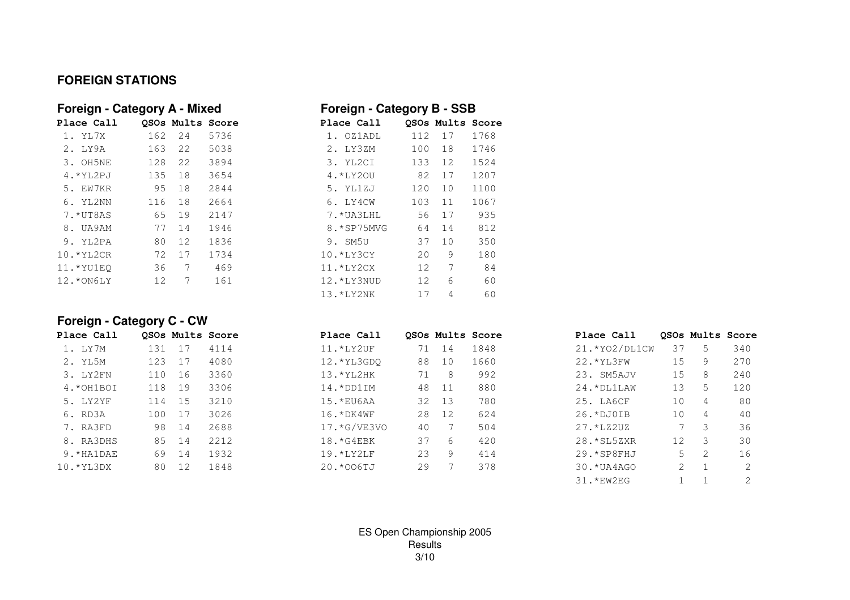## **FOREIGN STATIONS**

| Foreign - Category A - Mixed |     |                  |      | Foreign - Category B - SSB |     |                 |      |
|------------------------------|-----|------------------|------|----------------------------|-----|-----------------|------|
| Place Call                   |     | OSOs Mults Score |      | Place Call                 |     | OSOs Mults Scor |      |
| 1. YL7X                      | 162 | 2.4              | 5736 | 1. OZ1ADL                  | 112 | 17              | 1768 |
| 2. LY9A                      | 163 | 22               | 5038 | 2. LY3ZM                   | 100 | 18              | 1746 |
| 3. OH5NE                     | 128 | 2.2              | 3894 | 3. YL2CI                   | 133 | 12              | 1524 |
| $4.*YL2PJ$                   | 135 | 18               | 3654 | 4. *LY20U                  | 82  | 17              | 1207 |
| 5. EW7KR                     | 95  | 18               | 2844 | 5. YL1ZJ                   | 120 | 10              | 1100 |
| 6. YL2NN                     | 116 | 18               | 2664 | 6. LY4CW                   | 103 | 11              | 1067 |
| 7.*UT8AS                     | 65  | 19               | 2147 | 7.*UA3LHL                  | 56  | 17              | 935  |
| 8. UA9AM                     | 77  | 14               | 1946 | 8. * SP75MVG               | 64  | 14              | 812  |
| 9. YL2PA                     | 80  | 12               | 1836 | 9. SM5U                    | 37  | 10              | 350  |
| $10.*YL2CR$                  | 72  | 17               | 1734 | $10.*LY3CY$                | 20  | 9               | 180  |
| $11.*YU1E0$                  | 36  | 7                | 469  | $11.*LY2CX$                | 12  | 7               | 84   |
| 12.*ON6LY                    | 12  | 7                | 161  | 12. *LY3NUD                | 12  | 6               | 60   |
|                              |     |                  |      |                            |     |                 |      |

| Foreign - Category A - Mixed |     |                  |      | Foreign - Category B - SSB |     |                  |      |
|------------------------------|-----|------------------|------|----------------------------|-----|------------------|------|
| <b>Place Call</b>            |     | OSOs Mults Score |      | Place Call                 |     | OSOs Mults Score |      |
| 1. YL7X                      | 162 | 24               | 5736 | 1. OZ1ADL                  | 112 | 17               | 1768 |
| 2. LY9A                      | 163 | 22               | 5038 | 2. I.Y3ZM                  | 100 | 18               | 1746 |
| 3. OH5NE                     | 128 | 22               | 3894 | 3. YL2CI                   | 133 | 12               | 1524 |
| $4.$ * YL2PJ                 | 135 | 18               | 3654 | 4.*LY20U                   | 82  | 17               | 1207 |
| 5. EW7KR                     | 95  | 18               | 2844 | 5. YL1ZJ                   | 120 | 10               | 1100 |
| 6. YL2NN                     | 116 | 18               | 2664 | 6. LY4CW                   | 103 | 11               | 1067 |
| 7.*UT8AS                     | 65  | 19               | 2147 | 7.*UA3LHL                  | 56  | 17               | 935  |
| 8. UA9AM                     | 77  | 14               | 1946 | 8. * SP75MVG               | 64  | 14               | 812  |
| 9. YL2PA                     | 80  | 12               | 1836 | 9. SM5U                    | 37  | 10               | 350  |
| $10.*YL2CR$                  | 72  | 17               | 1734 | $10.*LY3CY$                | 20  | 9                | 180  |
| 11.*YU1EO                    | 36  | 7                | 469  | $11.*LY2CX$                | 12  | 7                | 84   |
| 12.*ON6LY                    | 12  | 7                | 161  | 12. *LY3NUD                | 12  | 6                | 60   |
|                              |     |                  |      | 13.*LY2NK                  | 17  | 4                | 60   |

# **Foreign - Category C - CW**

| Place Call  |     |      | OSOs Mults Score | Place Call      |    |       | OSOs Mults Score | Place Call       |    |   | OSOs Mults Score |
|-------------|-----|------|------------------|-----------------|----|-------|------------------|------------------|----|---|------------------|
| 1. LY7M     | 131 |      | 4114             | 11.*LY2UF       | 71 | 14    | 1848             | 21. * YO2/DL1CW  | 37 | 5 | 340              |
| 2. YL5M     | 123 | 17   | 4080             | 12. * YL3GDO    | 88 | 10    | 1660             | 22. * YL3FW      | 15 | 9 | 270              |
| 3. LY2FN    | 110 | 16   | 3360             | $13.$ * YL2HK   | 71 | 8     | 992              | 23. SM5AJV       | 15 | 8 | 240              |
| $4.*OHIBOI$ | 118 | 19   | 3306             | $14.*DD1IM$     | 48 | $-11$ | 880              | $24. *DL1LAW$    | 13 | 5 | 120              |
| 5. LY2YF    | 114 | - 15 | 3210             | 15. *EU6AA      | 32 | 13    | 780              | 25. LA6CF        | 10 | 4 | 80               |
| 6. RD3A     | 100 | 17   | 3026             | $16. *DK4WF$    | 28 | 12    | 624              | $26.*$ DJ $0$ IB | 10 | 4 | 40               |
| 7. RA3FD    | 98  | 14   | 2688             | $17. * G/VE3VO$ | 40 |       | 504              | 27.*LZ2UZ        |    | 3 | 36               |
| 8. RA3DHS   | 85  | 14   | 2212             | $18.*G4EBK$     | 37 | 6     | 420              | $28.*SL5ZXR$     | 12 | 3 | 30               |
| 9. *HA1DAE  | 69  | 14   | 1932             | $19.$ *LY $2LF$ | 23 | 9     | 414              | $29.*SP8FHJ$     | 5. | 2 | 16               |
| $10.*YL3DX$ | 80  | 12   | 1848             | 20.*006TJ       | 29 |       | 378              | 30. *UA4AGO      | 2  |   |                  |
|             |     |      |                  |                 |    |       |                  | 31. *EW2EG       |    |   |                  |

ES Open Championship 2005Results3/10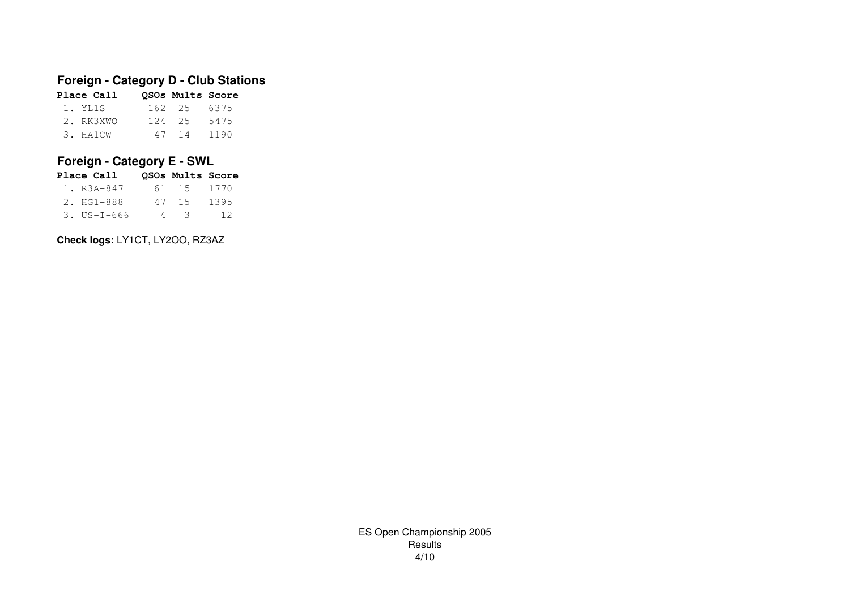# **Foreign - Category D - Club Stations**

| Place Call | QSOs Mults Score |      |
|------------|------------------|------|
| 1. YL1S    | 162 25 6375      |      |
| 2. RK3XWO  | 124 25           | 5475 |
| 3. HA1CW   | 47 14            | 1190 |

# **Foreign - Category E - SWL**

| Place Call               |   | OSOs Mults Score |      |
|--------------------------|---|------------------|------|
| 1. R3A-847               |   | 61 15            | 1770 |
| 2. HG1-888               |   | 47 15            | 1395 |
| $3. \text{US} - 1 - 666$ | 4 | - 3              | 12   |

**Check logs:** LY1CT, LY2OO, RZ3AZ

ES Open Championship 2005Results4/10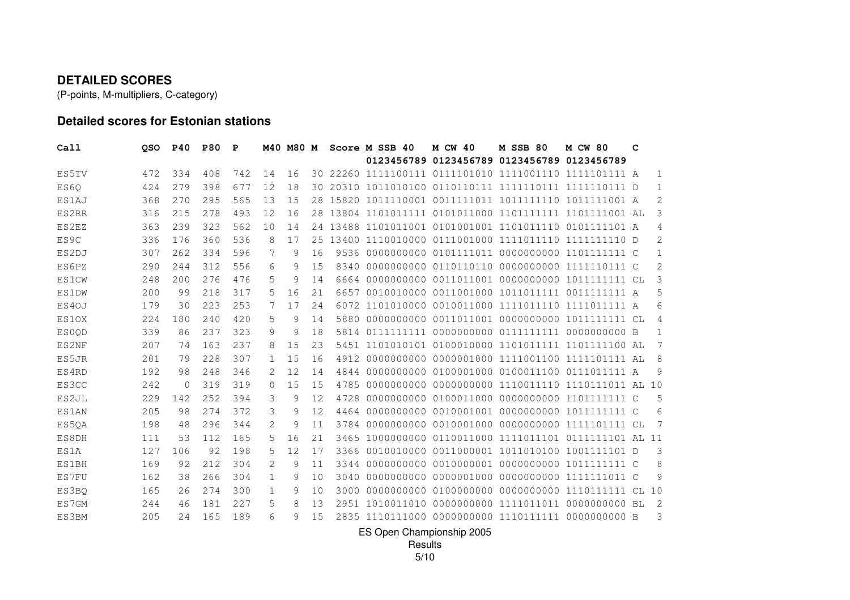#### **DETAILED SCORES**

(P-points, M-multipliers, C-category)

## **Detailed scores for Estonian stations**

| Call         | <b>OSO</b> | <b>P40</b> | <b>P80</b> | P   |               | M40 M80 M    |     |      | Score M SSB 40                        | <b>M CW 40</b>                              | <b>M SSB 80</b>       | <b>M CW 80</b>                                         | c |                |
|--------------|------------|------------|------------|-----|---------------|--------------|-----|------|---------------------------------------|---------------------------------------------|-----------------------|--------------------------------------------------------|---|----------------|
|              |            |            |            |     |               |              |     |      |                                       | 0123456789 0123456789 0123456789 0123456789 |                       |                                                        |   |                |
| ES5TV        | 472        | 334        | 408        | 742 | 14            | 16           |     |      |                                       |                                             |                       | 30 22260 1111100111 0111101010 1111001110 1111101111 A |   | 1              |
| ES60         | 424        | 279        | 398        | 677 | 12            | 18           | 30  |      |                                       |                                             |                       |                                                        |   | 1              |
| ES1AJ        | 368        | 270        | 295        | 565 | 13            | 15           | 28. |      |                                       |                                             |                       | 15820 1011110001 0011111011 1011111110 1011111001 A    |   | 2              |
| ES2RR        | 316        | 215        | 278        | 493 | 12            | 16           | 28. |      |                                       |                                             |                       | 13804 1101011111 0101011000 1101111111 1101111001 AL   |   | 3              |
| ES2EZ        | 363        | 239        | 323        | 562 | 10            | 14           | 24  |      |                                       |                                             |                       | 13488 1101011001 0101001001 1101011110 0101111101 A    |   | 4              |
| ES9C         | 336        | 176        | 360        | 536 | 8             | 17           | 2.5 |      |                                       |                                             |                       |                                                        |   | $\overline{2}$ |
| ES2DJ        | 307        | 262        | 334        | 596 | 7             | 9            | 16  | 9536 |                                       |                                             |                       |                                                        |   | 1              |
| ES6PZ        | 290        | 244        | 312        | 556 | 6             | 9            | 15  | 8340 |                                       |                                             |                       | 0000000000 0110110110 0000000000 1111110111 C          |   | 2              |
| <b>ES1CW</b> | 248        | 200        | 276        | 476 | 5             | 9            | 14  |      |                                       |                                             |                       |                                                        |   | 3              |
| <b>ES1DW</b> | 200        | 99         | 218        | 317 | 5             | 16           | 2.1 | 6657 |                                       |                                             |                       |                                                        |   | 5              |
| ES4OJ        | 179        | 30         | 223        | 253 | 7             | 17           | 24  |      |                                       |                                             |                       | 6072 1101010000 0010011000 1111011110 1111011111 A     |   | 6              |
| ES10X        | 224        | 180        | 240        | 420 | 5             | 9            | 14  | 5880 |                                       |                                             |                       |                                                        |   | 4              |
| ES0OD        | 339        | 86         | 237        | 323 | 9             | 9            | 18  | 5814 | 0111111111                            |                                             | 0000000000 0111111111 | 0000000000 B                                           |   | 1              |
| ES2NF        | 207        | 74         | 163        | 237 | 8             | 15           | 23  | 5451 | 1101010101                            |                                             |                       | 0100010000 1101011111 1101111100 AL                    |   | 7              |
| ES5JR        | 201        | 79         | 228        | 307 | 1             | 15           | 16  | 4912 | 0000000000                            |                                             |                       | 0000001000 1111001100 1111101111 AL                    |   | 8              |
| ES4RD        | 192        | 98         | 248        | 346 | $\mathcal{L}$ | 12           | 14  | 4844 |                                       |                                             |                       | 0000000000 0100001000 0100011100 0111011111 A          |   | 9              |
| ES3CC        | 242        | 0          | 319        | 319 | 0             | 15           | 15  | 4785 | 0000000000                            |                                             |                       | 0000000000 1110011110 1110111011 AL 10                 |   |                |
| ES2JL        | 229        | 142        | 252        | 394 | 3             | 9            | 12  | 4728 | 0000000000                            |                                             |                       | 0100011000 0000000000 1101111111 C                     |   | 5              |
| <b>ES1AN</b> | 205        | 98         | 274        | 372 | 3             | 9            | 12  | 4464 | 0000000000                            |                                             |                       | 0010001001 0000000000 1011111111 C                     |   | 6              |
| ES5QA        | 198        | 48         | 296        | 344 | 2             | 9            | 11  | 3784 | 0000000000                            |                                             |                       | 0010001000 00000000000 1111101111 CL                   |   | 7              |
| ES8DH        | 111        | 53         | 112        | 165 | 5             | 16           | 21  | 3465 | 1000000000                            |                                             |                       | 0110011000 1111011101 0111111101 AL 11                 |   |                |
| ES1A         | 127        | 106        | 92         | 198 | 5             | 12           | 17  | 3366 |                                       |                                             |                       | 0010010000 0011000001 1011010100 1001111101 D          |   | 3              |
| <b>ES1BH</b> | 169        | 92         | 212        | 304 | 2             | 9            | 11  | 3344 | 0000000000                            |                                             |                       | 0010000001 0000000000 1011111111 C                     |   | 8              |
| ES7FU        | 162        | 38         | 266        | 304 | 1             | 9            | 10  | 3040 | 0000000000                            |                                             |                       | 0000001000 00000000000 1111111011 C                    |   | 9              |
| ES3BO        | 165        | 26         | 274        | 300 | 1             | 9            | 10  | 3000 | 0000000000                            |                                             |                       | 0100000000 0000000000 1110111111 CL 10                 |   |                |
| ES7GM        | 244        | 46         | 181        | 227 | 5             | 8            | 13  |      | 2951 1010011010                       |                                             | 0000000000 1111011011 | 0000000000 BL                                          |   | $\overline{c}$ |
| ES3BM        | 205        | 2.4        | 165        | 189 | 6             | $\mathsf{Q}$ | 1.5 |      | 2835 1110111000 0000000000 1110111111 |                                             |                       | $00000000000$ B                                        |   | 3              |

ES Open Championship 2005

Results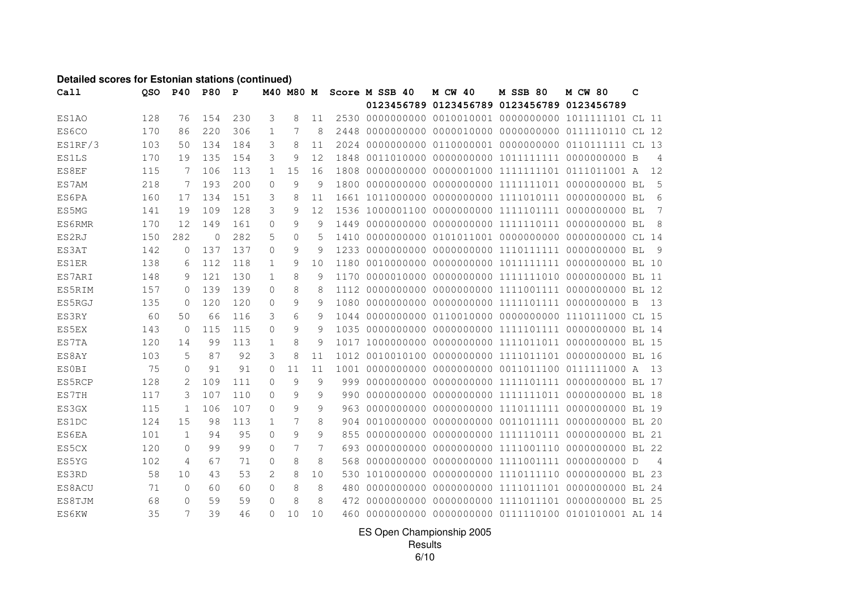#### **Detailed scores for Estonian stations (continued)**

| Call         | QSO | <b>P40</b>   | <b>P80</b> | P   |              | M40 M80 M |    |      | Score M SSB 40 | <b>M CW 40</b> | <b>M SSB 80</b>                                   | <b>M CW 80</b> | с |                |
|--------------|-----|--------------|------------|-----|--------------|-----------|----|------|----------------|----------------|---------------------------------------------------|----------------|---|----------------|
|              |     |              |            |     |              |           |    |      |                |                | 0123456789 0123456789 0123456789 0123456789       |                |   |                |
| ES1AO        | 128 | 76           | 154        | 230 | 3            | 8         | 11 |      |                |                |                                                   |                |   |                |
| ES6CO        | 170 | 86           | 220        | 306 | 1            | 7         | 8  | 2448 |                |                |                                                   |                |   |                |
| ES1RF/3      | 103 | 50           | 134        | 184 | 3            | 8         | 11 |      |                |                |                                                   |                |   |                |
| <b>ES1LS</b> | 170 | 19           | 135        | 154 | 3            | 9         | 12 | 1848 |                |                |                                                   |                |   | 4              |
| ES8EF        | 115 | 7            | 106        | 113 | $\mathbf{1}$ | 15        | 16 | 1808 |                |                |                                                   |                |   | 12             |
| ES7AM        | 218 | 7            | 193        | 200 | $\Omega$     | 9         | 9  | 1800 |                |                |                                                   |                |   | .5             |
| ES6PA        | 160 | 17           | 134        | 151 | 3            | 8         | 11 |      |                |                |                                                   |                |   | 6              |
| ES5MG        | 141 | 19           | 109        | 128 | 3            | 9         | 12 |      |                |                |                                                   |                |   | 7              |
| ES6RMR       | 170 | 12           | 149        | 161 | $\Omega$     | 9         | 9  | 1449 |                |                |                                                   |                |   | 8              |
| ES2RJ        | 150 | 282          | $\circ$    | 282 | 5            | 0         | 5  | 1410 |                |                |                                                   |                |   |                |
| ES3AT        | 142 | $\mathbf{0}$ | 137        | 137 | 0            | 9         | 9  | 1233 |                |                |                                                   |                |   | - 9            |
| <b>ES1ER</b> | 138 | 6            | 112        | 118 | 1            | 9         | 10 | 1180 |                |                |                                                   |                |   |                |
| ES7ARI       | 148 | 9            | 121        | 130 | 1            | 8         | 9  | 1170 |                |                |                                                   |                |   |                |
| ES5RIM       | 157 | $\Omega$     | 139        | 139 | 0            | 8         | 8  | 1112 |                |                |                                                   |                |   |                |
| ES5RGJ       | 135 | $\Omega$     | 120        | 120 | 0            | 9         | 9  | 1080 |                |                |                                                   |                |   | -13            |
| ES3RY        | 60  | 50           | 66         | 116 | 3            | 6         | 9  | 1044 |                |                | 0000000000 0110010000 0000000000 1110111000 CL 15 |                |   |                |
| ES5EX        | 143 | $\mathbf 0$  | 115        | 115 | 0            | 9         | 9  | 1035 |                |                |                                                   |                |   |                |
| ES7TA        | 120 | 14           | 99         | 113 | 1            | 8         | 9  |      |                |                |                                                   |                |   |                |
| ES8AY        | 103 | 5            | 87         | 92  | 3            | 8         | 11 |      |                |                |                                                   |                |   |                |
| <b>ESOBI</b> | 75  | 0            | 91         | 91  | $\mathbf{0}$ | 11        | 11 | 1001 |                |                |                                                   |                |   | - 13           |
| ES5RCP       | 128 | 2            | 109        | 111 | $\Omega$     | 9         | 9  | 999  |                |                |                                                   |                |   |                |
| ES7TH        | 117 | 3            | 107        | 110 | $\Omega$     | 9         | 9  | 990  |                |                |                                                   |                |   |                |
| ES3GX        | 115 | $\mathbf{1}$ | 106        | 107 | $\Omega$     | 9         | 9  | 963  |                |                |                                                   |                |   |                |
| ES1DC        | 124 | 15           | 98         | 113 | 1            | 7         | 8  | 904  |                |                |                                                   |                |   |                |
| ES6EA        | 101 | $\mathbf{1}$ | 94         | 95  | $\mathbf{0}$ | 9         | 9  | 855  |                |                |                                                   |                |   |                |
| ES5CX        | 120 | $\Omega$     | 99         | 99  | $\Omega$     | 7         | 7  | 693  |                |                |                                                   |                |   |                |
| ES5YG        | 102 | 4            | 67         | 71  | $\circ$      | 8         | 8  | 568  |                |                |                                                   |                |   | $\overline{4}$ |
| ES3RD        | 58  | 10           | 43         | 53  | 2            | 8         | 10 | 530  |                |                |                                                   |                |   |                |
| ES8ACU       | 71  | $\circ$      | 60         | 60  | $\circ$      | 8         | 8  | 480  |                |                |                                                   |                |   |                |
| ES8TJM       | 68  | $\Omega$     | 59         | 59  | $\Omega$     | 8         | 8  | 472  |                |                |                                                   |                |   |                |
| ES6KW        | 35  | 7            | 39         | 46  | 0            | 10        | 10 | 460  |                |                | 0000000000 0000000000 0111110100 0101010001 AL 14 |                |   |                |

ES Open Championship 2005 Results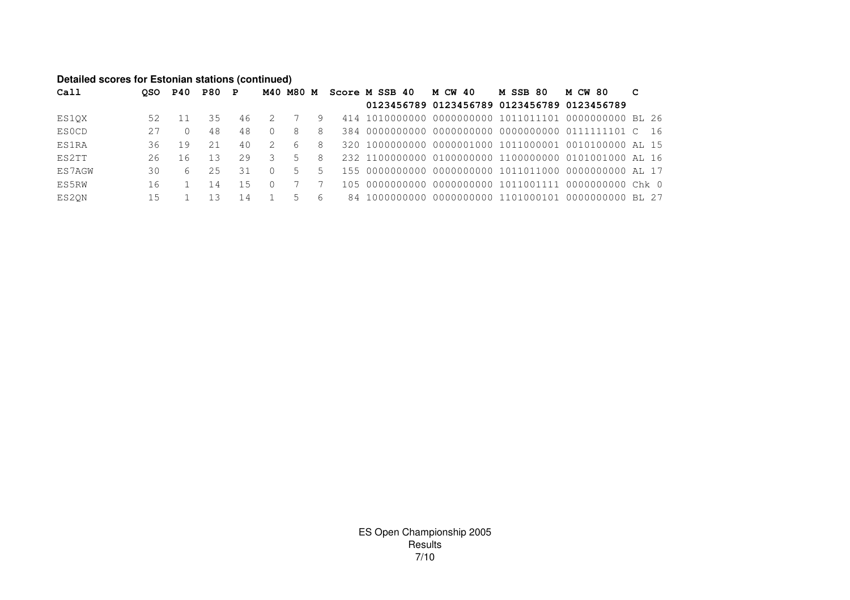#### **Detailed scores for Estonian stations (continued)**

| Call         |     | OSO P40 | P80 P |     |          |                |     | M40 M80 M Score M SSB 40 | M CW 40                                               | <b>M SSB 80</b> | <b>M CW 80</b> | C |
|--------------|-----|---------|-------|-----|----------|----------------|-----|--------------------------|-------------------------------------------------------|-----------------|----------------|---|
|              |     |         |       |     |          |                |     |                          | 0123456789 0123456789 0123456789 0123456789           |                 |                |   |
| ES10X        | 52  |         | 35    | 46  | - 2      |                | 9   |                          |                                                       |                 |                |   |
| <b>ESOCD</b> | 27  |         | 48    | 48  | $\Omega$ | 8              | 8   |                          |                                                       |                 |                |   |
| <b>ES1RA</b> | 36  | 9       | 21    | 4 O | 2        | -6             | 8   |                          | 320 1000000000 0000001000 1011000001 0010100000 AL 15 |                 |                |   |
| ES2TT        | 26  | 16      | 13    | 29  |          | $5 -$          | 8   |                          |                                                       |                 |                |   |
| ES7AGW       | 30. | 6       | 25    | 31  | $\Omega$ | $5 -$          | 5.  |                          |                                                       |                 |                |   |
| ES5RW        | 16  |         | 14    | 1.5 |          |                |     |                          |                                                       |                 |                |   |
| ES2ON        | 15  |         |       | 14  |          | $\overline{a}$ | - 6 |                          |                                                       |                 |                |   |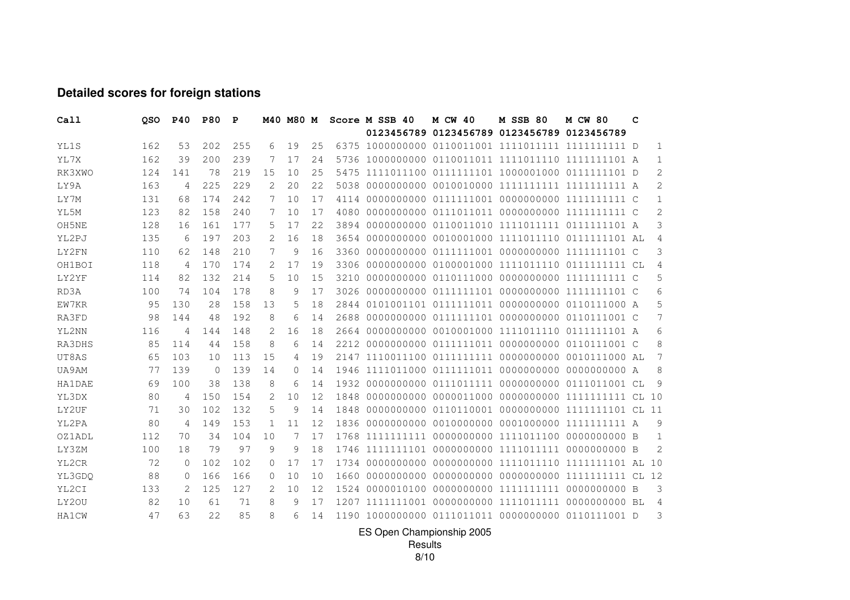# **Detailed scores for foreign stations**

| Call          | QSO | P40         | <b>P80</b> | P   |          | M40 M80 M |    |      | Score M SSB 40 | M CW 40                                     | <b>M SSB 80</b> | <b>M CW 80</b>                                 | c |                |
|---------------|-----|-------------|------------|-----|----------|-----------|----|------|----------------|---------------------------------------------|-----------------|------------------------------------------------|---|----------------|
|               |     |             |            |     |          |           |    |      |                | 0123456789 0123456789 0123456789 0123456789 |                 |                                                |   |                |
| YL1S          | 162 | 53          | 202        | 255 | 6        | 19        | 25 |      |                |                                             |                 |                                                |   | 1              |
| YL7X          | 162 | 39          | 200        | 239 | 7        | 17        | 24 | 5736 |                |                                             |                 |                                                |   | 1              |
| RK3XWO        | 124 | 141         | 78         | 219 | 15       | 10        | 25 | 5475 |                |                                             |                 |                                                |   | 2              |
| LY9A          | 163 | 4           | 225        | 229 | 2        | 20        | 22 | 5038 |                |                                             |                 |                                                |   | 2              |
| LY7M          | 131 | 68          | 174        | 242 | 7        | 10        | 17 | 4114 |                |                                             |                 |                                                |   | $\mathbf 1$    |
| YL5M          | 123 | 82          | 158        | 240 | 7        | 10        | 17 | 4080 |                |                                             |                 |                                                |   | $\overline{c}$ |
| OH5NE         | 128 | 16          | 161        | 177 | 5        | 17        | 22 | 3894 |                |                                             |                 |                                                |   | 3              |
| YL2PJ         | 135 | 6           | 197        | 203 | 2        | 16        | 18 | 3654 |                |                                             |                 |                                                |   | $\overline{4}$ |
| LY2FN         | 110 | 62          | 148        | 210 | 7        | 9         | 16 | 3360 |                |                                             |                 |                                                |   | 3              |
| OH1BOI        | 118 | 4           | 170        | 174 | 2        | 17        | 19 | 3306 |                |                                             |                 |                                                |   | 4              |
| LY2YF         | 114 | 82          | 132        | 214 | 5        | 10        | 15 | 3210 |                |                                             |                 |                                                |   | 5              |
| RD3A          | 100 | 74          | 104        | 178 | 8        | 9         | 17 | 3026 |                |                                             |                 |                                                |   | 6              |
| EW7KR         | 95  | 130         | 28         | 158 | 13       | 5         | 18 | 2844 |                |                                             |                 | 0101001101 0111111011 0000000000 0110111000 A  |   | 5              |
| RA3FD         | 98  | 144         | 48         | 192 | 8        | 6         | 14 | 2688 |                |                                             |                 | 0000000000 0111111101 0000000000 0110111001 C  |   | 7              |
| YL2NN         | 116 | 4           | 144        | 148 | 2        | 16        | 18 | 2664 |                |                                             |                 |                                                |   | 6              |
| RA3DHS        | 85  | 114         | 44         | 158 | 8        | 6         | 14 | 2212 |                |                                             |                 | 0000000000 0111111011 0000000000 0110111001 C  |   | 8              |
| UT8AS         | 65  | 103         | 10         | 113 | 15       | 4         | 19 | 2147 |                |                                             |                 | 1110011100 0111111111 0000000000 0010111000 AL |   | 7              |
| UA9AM         | 77  | 139         | $\Omega$   | 139 | 14       | $\Omega$  | 14 | 1946 |                |                                             |                 |                                                |   | 8              |
| <b>HA1DAE</b> | 69  | 100         | 38         | 138 | 8        | 6         | 14 |      |                |                                             |                 |                                                |   | 9              |
| YL3DX         | 80  | 4           | 150        | 154 | 2        | 10        | 12 | 1848 |                |                                             |                 |                                                |   |                |
| LY2UF         | 71  | 30          | 102        | 132 | 5        | 9         | 14 | 1848 |                |                                             |                 |                                                |   |                |
| YL2PA         | 80  | 4           | 149        | 153 | 1        | 11        | 12 | 1836 |                |                                             |                 |                                                |   | 9              |
| <b>OZ1ADL</b> | 112 | 70          | 34         | 104 | 10       | 7         | 17 | 1768 |                |                                             |                 |                                                |   | 1              |
| LY3ZM         | 100 | 18          | 79         | 97  | 9        | 9         | 18 | 1746 |                |                                             |                 |                                                |   | $\overline{2}$ |
| YL2CR         | 72  | $\mathbf 0$ | 102        | 102 | $\Omega$ | 17        | 17 | 1734 |                |                                             |                 |                                                |   |                |
| YL3GDQ        | 88  | 0           | 166        | 166 | 0        | 10        | 10 | 1660 |                |                                             |                 |                                                |   |                |
| YL2CI         | 133 | 2           | 125        | 127 | 2        | 10        | 12 | 1524 |                |                                             |                 |                                                |   | 3              |
| LY20U         | 82  | 10          | 61         | 71  | 8        | 9         | 17 |      |                | 1207 1111111001 0000000000 1111011111       |                 | 0000000000 BL                                  |   | $\overline{4}$ |
| <b>HA1CW</b>  | 47  | 63          | 2.2.       | 85  | 8        | 6         | 14 |      |                |                                             |                 |                                                |   | 3              |

ES Open Championship 2005

Results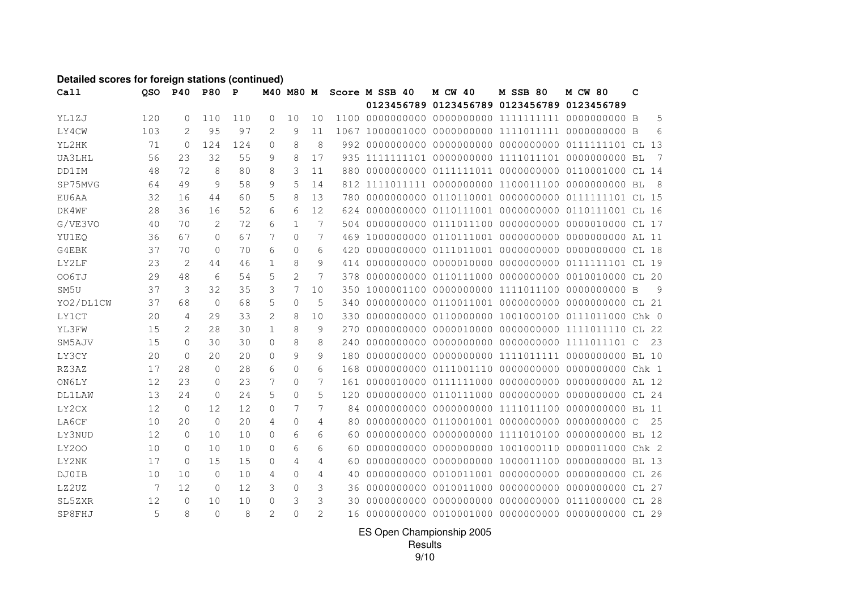#### **Detailed scores for foreign stations (continued)**

| Call          | QSO | <b>P40</b>          | <b>P80</b>   | P   |               | M40 M80 M      |                |     | Score M SSB 40 | <b>M CW 40</b> | <b>M SSB 80</b>                                   | <b>M CW 80</b> | C     |                |
|---------------|-----|---------------------|--------------|-----|---------------|----------------|----------------|-----|----------------|----------------|---------------------------------------------------|----------------|-------|----------------|
|               |     |                     |              |     |               |                |                |     |                |                | 0123456789 0123456789 0123456789 0123456789       |                |       |                |
| YL1ZJ         | 120 | $\Omega$            | 110          | 110 | $\Omega$      | 10             | 10             |     |                |                |                                                   |                |       | 5              |
| LY4CW         | 103 | $\mathfrak{D}$      | 95           | 97  | $\mathcal{L}$ | 9              | 11             |     |                |                |                                                   |                |       | 6              |
| YL2HK         | 71  | $\mathbf{0}$        | 124          | 124 | $\circ$       | 8              | 8              |     |                |                |                                                   |                |       |                |
| UA3LHL        | 56  | 23                  | 32           | 55  | 9             | 8              | 17             | 935 |                |                |                                                   |                |       | $\overline{7}$ |
| DD1IM         | 48  | 72                  | 8            | 80  | 8             | 3              | 11             | 880 |                |                | 0000000000 0111111011 0000000000 0110001000 CL 14 |                |       |                |
| SP75MVG       | 64  | 49                  | 9            | 58  | 9             | 5              | 14             | 812 |                |                |                                                   |                |       |                |
| EU6AA         | 32  | 16                  | 44           | 60  | 5             | 8              | 13             | 780 |                |                |                                                   |                |       |                |
| DK4WF         | 28  | 36                  | 16           | 52  | 6             | 6              | 12             | 624 |                |                | 0000000000 0110111001 0000000000 0110111001 CL 16 |                |       |                |
| G/VE3VO       | 40  | 70                  | 2            | 72  | 6             | $\mathbf{1}$   | 7              | 504 |                |                | 0000000000 0111011100 0000000000 0000010000 CL 17 |                |       |                |
| YU1EQ         | 36  | 67                  | 0            | 67  | 7             | $\mathbf 0$    | 7              | 469 |                |                |                                                   |                |       |                |
| G4EBK         | 37  | 70                  | $\mathbf{0}$ | 70  | 6             | $\Omega$       | 6              | 420 |                |                |                                                   |                |       |                |
| LY2LF         | 23  | 2                   | 44           | 46  | $\mathbf{1}$  | 8              | 9              | 414 |                |                |                                                   |                |       |                |
| OO6TJ         | 29  | 48                  | 6            | 54  | 5             | $\overline{2}$ | 7              | 378 |                |                |                                                   |                |       |                |
| SM5U          | 37  | 3                   | 32           | 35  | 3             | 7              | 10             | 350 |                |                |                                                   |                |       | 9              |
| YO2/DL1CW     | 37  | 68                  | $\mathbf{0}$ | 68  | 5             | $\Omega$       | 5              | 340 |                |                |                                                   |                |       |                |
| <b>LY1CT</b>  | 20  | 4                   | 29           | 33  | 2             | 8              | 10             | 330 |                |                |                                                   |                |       |                |
| YL3FW         | 15  | 2                   | 28           | 30  | $\mathbf{1}$  | 8              | 9              | 270 |                |                | 0000000000 0000010000 0000000000 1111011110       |                | CL 22 |                |
| SM5AJV        | 15  | $\circ$             | 30           | 30  | $\circ$       | 8              | 8              | 240 |                |                | 0000000000 0000000000 0000000000 1111011101 C     |                |       | 23             |
| LY3CY         | 20  | $\mathbf{0}$        | 20           | 20  | $\Omega$      | 9              | 9              | 180 |                |                |                                                   |                |       |                |
| RZ3AZ         | 17  | 28                  | $\Omega$     | 28  | 6             | $\Omega$       | 6              | 168 |                |                |                                                   |                |       |                |
| ON6LY         | 12  | 23                  | $\Omega$     | 23  | 7             | $\Omega$       | 7              | 161 |                |                |                                                   |                |       |                |
| <b>DL1LAW</b> | 13  | 24                  | $\Omega$     | 2.4 | 5             | $\Omega$       | 5              | 120 |                |                |                                                   |                |       |                |
| LY2CX         | 12  | $\overline{0}$      | 12           | 12  | $\mathbf{0}$  | 7              | 7              | 84  |                |                |                                                   |                |       |                |
| LA6CF         | 10  | 20                  | $\mathbf{0}$ | 20  | 4             | $\mathbf{0}$   | 4              | 80  |                |                |                                                   |                |       | 25             |
| LY3NUD        | 12  | $\circ$             | 10           | 10  | $\Omega$      | 6              | 6              | 60  |                |                |                                                   |                |       |                |
| <b>LY200</b>  | 10  | $\mathbf{0}$        | 10           | 10  | $\Omega$      | 6              | 6              | 60  |                |                | 0000000000 0000000000 1001000110 0000011000 Chk 2 |                |       |                |
| LY2NK         | 17  | $\mathsf{O}\xspace$ | 15           | 15  | $\mathbf 0$   | 4              | 4              | 60  |                |                |                                                   |                |       |                |
| DJ0IB         | 10  | 10                  | $\Omega$     | 10  | 4             | $\Omega$       | 4              | 40  |                |                |                                                   |                |       |                |
| LZ2UZ         | 7   | 12                  | $\Omega$     | 12. | 3             | $\Omega$       | 3              | 36  |                |                |                                                   |                |       |                |
| SL5ZXR        | 12  | $\Omega$            | 10           | 10  | $\Omega$      | 3              | 3              | 30  |                |                |                                                   |                |       |                |
| SP8FHJ        | 5   | 8                   | $\Omega$     | 8   | 2             | $\Omega$       | $\overline{2}$ | 16  |                |                |                                                   |                |       |                |

ES Open Championship 2005 Results